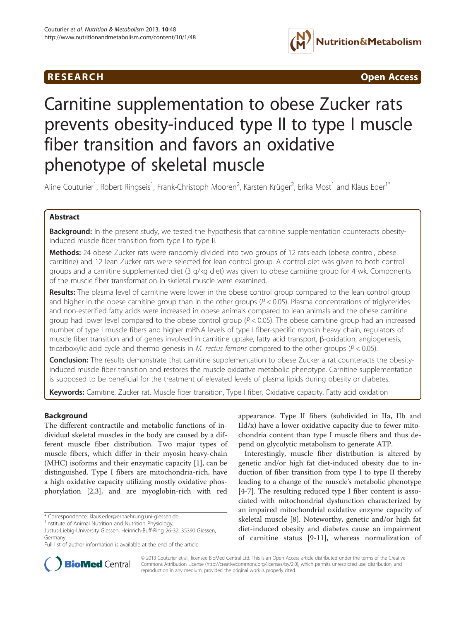## **RESEARCH CHINESE ARCH CHINESE ARCH CHINESE ARCH**



# Carnitine supplementation to obese Zucker rats prevents obesity-induced type II to type I muscle fiber transition and favors an oxidative phenotype of skeletal muscle

Aline Couturier<sup>1</sup>, Robert Ringseis<sup>1</sup>, Frank-Christoph Mooren<sup>2</sup>, Karsten Krüger<sup>2</sup>, Erika Most<sup>1</sup> and Klaus Eder<sup>1\*</sup>

## Abstract

Background: In the present study, we tested the hypothesis that carnitine supplementation counteracts obesityinduced muscle fiber transition from type I to type II.

Methods: 24 obese Zucker rats were randomly divided into two groups of 12 rats each (obese control, obese carnitine) and 12 lean Zucker rats were selected for lean control group. A control diet was given to both control groups and a carnitine supplemented diet (3 g/kg diet) was given to obese carnitine group for 4 wk. Components of the muscle fiber transformation in skeletal muscle were examined.

Results: The plasma level of carnitine were lower in the obese control group compared to the lean control group and higher in the obese carnitine group than in the other groups ( $P < 0.05$ ). Plasma concentrations of triglycerides and non-esterified fatty acids were increased in obese animals compared to lean animals and the obese carnitine group had lower level compared to the obese control group ( $P < 0.05$ ). The obese carnitine group had an increased number of type I muscle fibers and higher mRNA levels of type I fiber-specific myosin heavy chain, regulators of muscle fiber transition and of genes involved in carnitine uptake, fatty acid transport, β-oxidation, angiogenesis, tricarboxylic acid cycle and thermo genesis in M. rectus femoris compared to the other groups ( $P < 0.05$ ).

Conclusion: The results demonstrate that carnitine supplementation to obese Zucker a rat counteracts the obesityinduced muscle fiber transition and restores the muscle oxidative metabolic phenotype. Carnitine supplementation is supposed to be beneficial for the treatment of elevated levels of plasma lipids during obesity or diabetes.

Keywords: Carnitine, Zucker rat, Muscle fiber transition, Type I fiber, Oxidative capacity, Fatty acid oxidation

## Background

The different contractile and metabolic functions of individual skeletal muscles in the body are caused by a different muscle fiber distribution. Two major types of muscle fibers, which differ in their myosin heavy-chain (MHC) isoforms and their enzymatic capacity [[1\]](#page-9-0), can be distinguished. Type I fibers are mitochondria-rich, have a high oxidative capacity utilizing mostly oxidative phosphorylation [\[2,3](#page-9-0)], and are myoglobin-rich with red

\* Correspondence: [klaus.eder@ernaehrung.uni-giessen.de](mailto:klaus.eder@ernaehrung.uni-giessen.de) <sup>1</sup>

<sup>1</sup>Institute of Animal Nutrition and Nutrition Physiology,

appearance. Type II fibers (subdivided in IIa, IIb and  $IId/x$ ) have a lower oxidative capacity due to fewer mitochondria content than type I muscle fibers and thus depend on glycolytic metabolism to generate ATP.

Interestingly, muscle fiber distribution is altered by genetic and/or high fat diet-induced obesity due to induction of fiber transition from type I to type II thereby leading to a change of the muscle's metabolic phenotype [[4-7](#page-9-0)]. The resulting reduced type I fiber content is associated with mitochondrial dysfunction characterized by an impaired mitochondrial oxidative enzyme capacity of skeletal muscle [\[8\]](#page-9-0). Noteworthy, genetic and/or high fat diet-induced obesity and diabetes cause an impairment of carnitine status [\[9](#page-9-0)-[11\]](#page-9-0), whereas normalization of



© 2013 Couturier et al.; licensee BioMed Central Ltd. This is an Open Access article distributed under the terms of the Creative Commons Attribution License [\(http://creativecommons.org/licenses/by/2.0\)](http://creativecommons.org/licenses/by/2.0), which permits unrestricted use, distribution, and reproduction in any medium, provided the original work is properly cited.

Justus-Liebig-University Giessen, Heinrich-Buff-Ring 26-32, 35390 Giessen, Germany

Full list of author information is available at the end of the article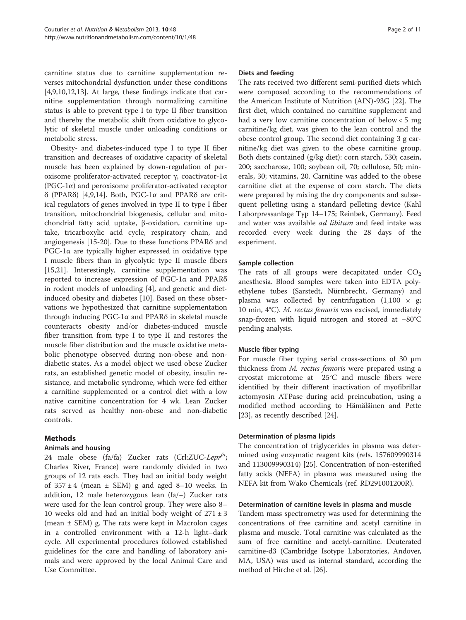carnitine status due to carnitine supplementation reverses mitochondrial dysfunction under these conditions [[4,9,10,12,13\]](#page-9-0). At large, these findings indicate that carnitine supplementation through normalizing carnitine status is able to prevent type I to type II fiber transition and thereby the metabolic shift from oxidative to glycolytic of skeletal muscle under unloading conditions or metabolic stress.

Obesity- and diabetes-induced type I to type II fiber transition and decreases of oxidative capacity of skeletal muscle has been explained by down-regulation of peroxisome proliferator-activated receptor γ, coactivator-1α ( $PGC-1\alpha$ ) and peroxisome proliferator-activated receptor δ (PPARδ) [\[4,9,14\]](#page-9-0). Both, PGC-1α and PPARδ are critical regulators of genes involved in type II to type I fiber transition, mitochondrial biogenesis, cellular and mitochondrial fatty acid uptake, β-oxidation, carnitine uptake, tricarboxylic acid cycle, respiratory chain, and angiogenesis [\[15](#page-9-0)-[20\]](#page-10-0). Due to these functions PPARδ and PGC-1α are typically higher expressed in oxidative type I muscle fibers than in glycolytic type II muscle fibers [[15,](#page-9-0)[21\]](#page-10-0). Interestingly, carnitine supplementation was reported to increase expression of PGC-1α and PPARδ in rodent models of unloading [\[4](#page-9-0)], and genetic and dietinduced obesity and diabetes [[10\]](#page-9-0). Based on these observations we hypothesized that carnitine supplementation through inducing PGC-1α and PPARδ in skeletal muscle counteracts obesity and/or diabetes-induced muscle fiber transition from type I to type II and restores the muscle fiber distribution and the muscle oxidative metabolic phenotype observed during non-obese and nondiabetic states. As a model object we used obese Zucker rats, an established genetic model of obesity, insulin resistance, and metabolic syndrome, which were fed either a carnitine supplemented or a control diet with a low native carnitine concentration for 4 wk. Lean Zucker rats served as healthy non-obese and non-diabetic controls.

## Methods

#### Animals and housing

24 male obese (fa/fa) Zucker rats (Crl:ZUC-Lepr<sup>ta</sup>; Charles River, France) were randomly divided in two groups of 12 rats each. They had an initial body weight of  $357 \pm 4$  (mean  $\pm$  SEM) g and aged 8–10 weeks. In addition, 12 male heterozygous lean (fa/+) Zucker rats were used for the lean control group. They were also 8– 10 weeks old and had an initial body weight of  $271 \pm 3$ (mean ± SEM) g. The rats were kept in Macrolon cages in a controlled environment with a 12-h light–dark cycle. All experimental procedures followed established guidelines for the care and handling of laboratory animals and were approved by the local Animal Care and Use Committee.

#### Diets and feeding

The rats received two different semi-purified diets which were composed according to the recommendations of the American Institute of Nutrition (AIN)-93G [\[22](#page-10-0)]. The first diet, which contained no carnitine supplement and had a very low carnitine concentration of below < 5 mg carnitine/kg diet, was given to the lean control and the obese control group. The second diet containing 3 g carnitine/kg diet was given to the obese carnitine group. Both diets contained (g/kg diet): corn starch, 530; casein, 200; saccharose, 100; soybean oil, 70; cellulose, 50; minerals, 30; vitamins, 20. Carnitine was added to the obese carnitine diet at the expense of corn starch. The diets were prepared by mixing the dry components and subsequent pelleting using a standard pelleting device (Kahl Laborpressanlage Typ 14–175; Reinbek, Germany). Feed and water was available ad libitum and feed intake was recorded every week during the 28 days of the experiment.

## Sample collection

The rats of all groups were decapitated under  $CO<sub>2</sub>$ anesthesia. Blood samples were taken into EDTA polyethylene tubes (Sarstedt, Nürnbrecht, Germany) and plasma was collected by centrifugation  $(1,100 \times g)$ ; 10 min, 4°C). M. rectus femoris was excised, immediately snap-frozen with liquid nitrogen and stored at −80°C pending analysis.

## Muscle fiber typing

For muscle fiber typing serial cross-sections of 30 μm thickness from M. rectus femoris were prepared using a cryostat microtome at −25°C and muscle fibers were identified by their different inactivation of myofibrillar actomyosin ATPase during acid preincubation, using a modified method according to Hämäläinen and Pette [[23\]](#page-10-0), as recently described [[24](#page-10-0)].

#### Determination of plasma lipids

The concentration of triglycerides in plasma was determined using enzymatic reagent kits (refs. 157609990314 and 113009990314) [[25\]](#page-10-0). Concentration of non-esterified fatty acids (NEFA) in plasma was measured using the NEFA kit from Wako Chemicals (ref. RD291001200R).

#### Determination of carnitine levels in plasma and muscle

Tandem mass spectrometry was used for determining the concentrations of free carnitine and acetyl carnitine in plasma and muscle. Total carnitine was calculated as the sum of free carnitine and acetyl-carnitine. Deuterated carnitine-d3 (Cambridge Isotype Laboratories, Andover, MA, USA) was used as internal standard, according the method of Hirche et al. [\[26\]](#page-10-0).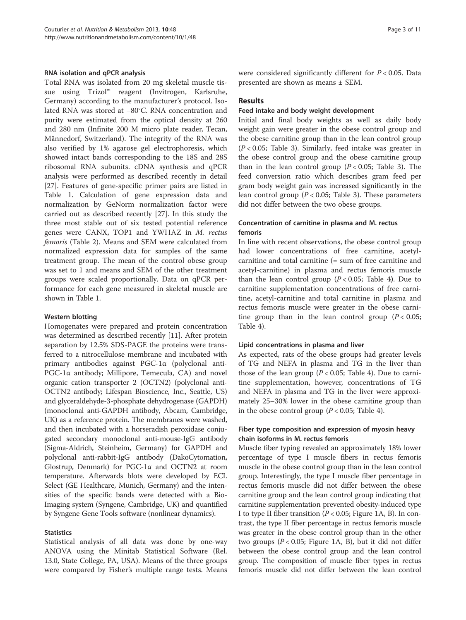#### RNA isolation and qPCR analysis

Total RNA was isolated from 20 mg skeletal muscle tissue using Trizol™ reagent (Invitrogen, Karlsruhe, Germany) according to the manufacturer's protocol. Isolated RNA was stored at −80°C. RNA concentration and purity were estimated from the optical density at 260 and 280 nm (Infinite 200 M micro plate reader, Tecan, Männedorf, Switzerland). The integrity of the RNA was also verified by 1% agarose gel electrophoresis, which showed intact bands corresponding to the 18S and 28S ribosomal RNA subunits. cDNA synthesis and qPCR analysis were performed as described recently in detail [[27\]](#page-10-0). Features of gene-specific primer pairs are listed in Table [1.](#page-3-0) Calculation of gene expression data and normalization by GeNorm normalization factor were carried out as described recently [\[27](#page-10-0)]. In this study the three most stable out of six tested potential reference genes were CANX, TOP1 and YWHAZ in M. rectus femoris (Table [2\)](#page-4-0). Means and SEM were calculated from normalized expression data for samples of the same treatment group. The mean of the control obese group was set to 1 and means and SEM of the other treatment groups were scaled proportionally. Data on qPCR performance for each gene measured in skeletal muscle are shown in Table [1.](#page-3-0)

#### Western blotting

Homogenates were prepared and protein concentration was determined as described recently [\[11\]](#page-9-0). After protein separation by 12.5% SDS-PAGE the proteins were transferred to a nitrocellulose membrane and incubated with primary antibodies against PGC-1α (polyclonal anti-PGC-1 $\alpha$  antibody; Millipore, Temecula, CA) and novel organic cation transporter 2 (OCTN2) (polyclonal anti-OCTN2 antibody; Lifespan Bioscience, Inc., Seattle, US) and glyceraldehyde-3-phosphate dehydrogenase (GAPDH) (monoclonal anti-GAPDH antibody, Abcam, Cambridge, UK) as a reference protein. The membranes were washed, and then incubated with a horseradish peroxidase conjugated secondary monoclonal anti-mouse-IgG antibody (Sigma-Aldrich, Steinheim, Germany) for GAPDH and polyclonal anti-rabbit-IgG antibody (DakoCytomation, Glostrup, Denmark) for PGC-1α and OCTN2 at room temperature. Afterwards blots were developed by ECL Select (GE Healthcare, Munich, Germany) and the intensities of the specific bands were detected with a Bio-Imaging system (Syngene, Cambridge, UK) and quantified by Syngene Gene Tools software (nonlinear dynamics).

#### **Statistics**

Statistical analysis of all data was done by one-way ANOVA using the Minitab Statistical Software (Rel. 13.0, State College, PA, USA). Means of the three groups were compared by Fisher's multiple range tests. Means were considered significantly different for  $P < 0.05$ . Data presented are shown as means ± SEM.

#### Results

#### Feed intake and body weight development

Initial and final body weights as well as daily body weight gain were greater in the obese control group and the obese carnitine group than in the lean control group  $(P < 0.05$ ; Table [3\)](#page-5-0). Similarly, feed intake was greater in the obese control group and the obese carnitine group than in the lean control group  $(P < 0.05$ ; Table [3\)](#page-5-0). The feed conversion ratio which describes gram feed per gram body weight gain was increased significantly in the lean control group ( $P < 0.05$ ; Table [3\)](#page-5-0). These parameters did not differ between the two obese groups.

#### Concentration of carnitine in plasma and M. rectus femoris

In line with recent observations, the obese control group had lower concentrations of free carnitine, acetylcarnitine and total carnitine (= sum of free carnitine and acetyl-carnitine) in plasma and rectus femoris muscle than the lean control group  $(P < 0.05$ ; Table [4](#page-5-0)). Due to carnitine supplementation concentrations of free carnitine, acetyl-carnitine and total carnitine in plasma and rectus femoris muscle were greater in the obese carnitine group than in the lean control group  $(P < 0.05$ ; Table [4\)](#page-5-0).

#### Lipid concentrations in plasma and liver

As expected, rats of the obese groups had greater levels of TG and NEFA in plasma and TG in the liver than those of the lean group ( $P < 0.05$ ; Table [4](#page-5-0)). Due to carnitine supplementation, however, concentrations of TG and NEFA in plasma and TG in the liver were approximately 25–30% lower in the obese carnitine group than in the obese control group ( $P < 0.05$ ; Table [4](#page-5-0)).

## Fiber type composition and expression of myosin heavy chain isoforms in M. rectus femoris

Muscle fiber typing revealed an approximately 18% lower percentage of type I muscle fibers in rectus femoris muscle in the obese control group than in the lean control group. Interestingly, the type I muscle fiber percentage in rectus femoris muscle did not differ between the obese carnitine group and the lean control group indicating that carnitine supplementation prevented obesity-induced type I to type II fiber transition ( $P < 0.05$ ; Figure [1A](#page-6-0), B). In contrast, the type II fiber percentage in rectus femoris muscle was greater in the obese control group than in the other two groups ( $P < 0.05$ ; Figure [1A](#page-6-0), B), but it did not differ between the obese control group and the lean control group. The composition of muscle fiber types in rectus femoris muscle did not differ between the lean control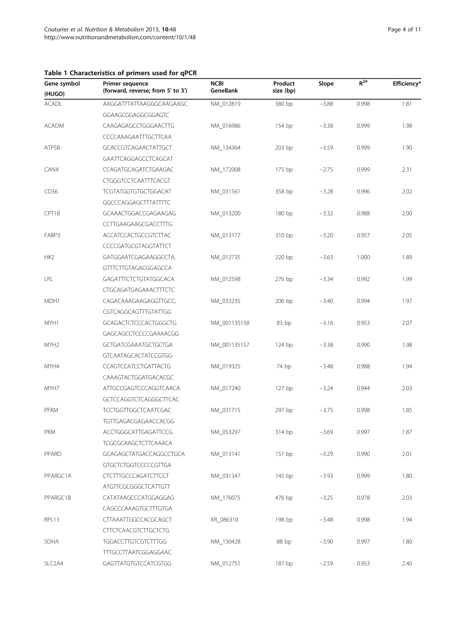## <span id="page-3-0"></span>Table 1 Characteristics of primers used for qPCR

TTTGCCTTAATCGGAGGAAC

| Gene symbol<br>(HUGO) | Primer sequence<br>(forward, reverse; from 5' to 3') | <b>NCBI</b><br>GeneBank | Product<br>size (bp) | Slope   | $R^{2#}$ | Efficiency* |
|-----------------------|------------------------------------------------------|-------------------------|----------------------|---------|----------|-------------|
| <b>ACADL</b>          | AAGGATTTATTAAGGGCAAGAAGC                             | NM_012819               | 380 bp               | $-3.88$ | 0.998    | 1.81        |
|                       | GGAAGCGGAGGCGGAGTC                                   |                         |                      |         |          |             |
| <b>ACADM</b>          | CAAGAGAGCCTGGGAACTTG                                 | NM 016986               | 154 bp               | $-3.38$ | 0.999    | 1.98        |
|                       | CCCCAAAGAATTTGCTTCAA                                 |                         |                      |         |          |             |
| ATP5B                 | GCACCGTCAGAACTATTGCT                                 | NM_134364               | $203$ bp             | $-3.59$ | 0.999    | 1.90        |
|                       | GAATTCAGGAGCCTCAGCAT                                 |                         |                      |         |          |             |
| CANX                  | CCAGATGCAGATCTGAAGAC                                 | NM_172008               | $175$ bp             | $-2.75$ | 0.999    | 2.31        |
|                       | CTGGGTCCTCAATTTCACGT                                 |                         |                      |         |          |             |
| CD36                  | TCGTATGGTGTGCTGGACAT                                 | NM_031561               | 358 bp               | $-3.28$ | 0.996    | 2.02        |
|                       | GGCCCAGGAGCTTTATTTTC                                 |                         |                      |         |          |             |
| CPT1B                 | GCAAACTGGACCGAGAAGAG                                 | NM_013200               | 180 bp               | $-3.32$ | 0.988    | 2.00        |
|                       | CCTTGAAGAAGCGACCTTTG                                 |                         |                      |         |          |             |
| FABP3                 | <b>ACCATCCACTGCCGTCTTAC</b>                          | NM_013177               | 310 bp               | $-3.20$ | 0.957    | 2.05        |
|                       | CCCCGATGCGTAGGTATTCT                                 |                         |                      |         |          |             |
| HK2                   | GATGGAATCGAGAAGGCCTA,                                | NM_012735               | 220 bp               | $-3.63$ | 1.000    | 1.89        |
|                       | GTTTCTTGTAGACGGAGCCA                                 |                         |                      |         |          |             |
| LPL                   | GAGATTTCTCTGTATGGCACA                                | NM_012598               | 276 bp               | $-3.34$ | 0.992    | 1.99        |
|                       | <b>CTGCAGATGAGAAACTTTCTC</b>                         |                         |                      |         |          |             |
| MDH1                  | CAGACAAAGAAGAGGTTGCC,                                | NM_033235               | 206 bp               | $-3.40$ | 0.994    | 1.97        |
|                       | CGTCAGGCAGTTTGTATTGG                                 |                         |                      |         |          |             |
| MYH1                  | <b>GCAGACTCTCCCACTGGGCTG</b>                         | NM_001135158            | 83bp                 | $-3.16$ | 0.953    | 2.07        |
|                       | GAGCAGCCTCCCCGAAAACGG                                |                         |                      |         |          |             |
| MYH <sub>2</sub>      | GCTGATCGAAATGCTGCTGA                                 | NM_001135157            | 124 bp               | $-3.38$ | 0.990    | 1.98        |
|                       | <b>GTCAATAGCACTATCCGTGG</b>                          |                         |                      |         |          |             |
| MYH4                  | CCAGTCCATCCTGATTACTG                                 | NM_019325               | 74 bp                | $-3.48$ | 0.988    | 1.94        |
|                       | CAAAGTACTGGATGACACGC                                 |                         |                      |         |          |             |
| MYH7                  | ATTGCCGAGTCCCAGGTCAACA                               | NM_017240               | 127 <sub>bp</sub>    | $-3.24$ | 0.944    | 2.03        |
|                       | GCTCCAGGTCTCAGGGCTTCAC                               |                         |                      |         |          |             |
| PFKM                  | TCCTGGTTGGCTCAATCGAC                                 | NM_031715               | 297 bp               | $-3.75$ | 0.998    | 1.85        |
|                       | TGTTGAGACGAGAACCACGG                                 |                         |                      |         |          |             |
| PKM                   | ACCTGGGCATTGAGATTCCG                                 | NM_053297               | 314 bp               | $-3.69$ | 0.997    | 1.87        |
|                       | TCGCGCAAGCTCTTCAAACA                                 |                         |                      |         |          |             |
| PPARD                 | GCAGAGCTATGACCAGGCCTGCA                              | NM_013141               | 151bp                | $-3.29$ | 0.990    | 2.01        |
|                       | <b>GTGCTCTGGTCCCCCGTTGA</b>                          |                         |                      |         |          |             |
| PPARGC1A              | <b>CTCTTTGCCCAGATCTTCCT</b>                          | NM_031347               | 145 bp               | $-3.93$ | 0.999    | 1.80        |
|                       | ATGTTCGCGGGCTCATTGTT                                 |                         |                      |         |          |             |
| PPARGC1B              | CATATAAGCCCATGGAGGAG                                 | NM_176075               | 476 bp               | $-3.25$ | 0.978    | 2.03        |
|                       | CAGCCCAAAGTGCTTTGTGA                                 |                         |                      |         |          |             |
| RPL13                 | CTTAAATTGGCCACGCAGCT                                 | XR_086310               | 198 bp               | $-3.48$ | 0.998    | 1.94        |
|                       | <b>CTTCTCAACGTCTTGCTCTG</b>                          |                         |                      |         |          |             |
| <b>SDHA</b>           | <b>TGGACCTTGTCGTCTTTGG</b>                           | NM_130428               | 88 bp                | $-3.90$ | 0.997    | 1.80        |

SLC2A4 GAGTTATGTGTCCATCGTGG NM\_012751 187 bp −2.59 0.953 2.40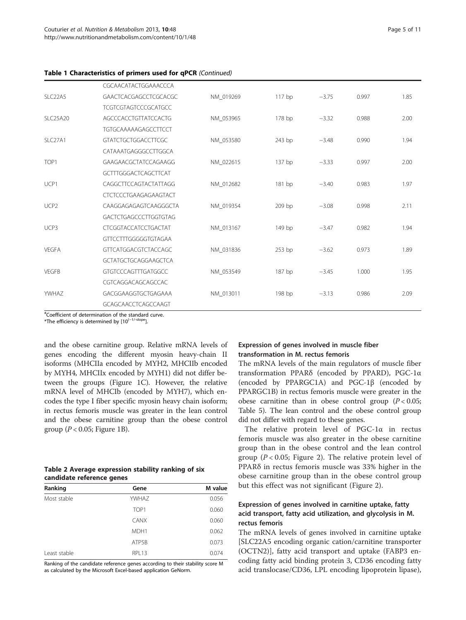<span id="page-4-0"></span>

|  | Table 1 Characteristics of primers used for qPCR (Continued) |  |  |  |
|--|--------------------------------------------------------------|--|--|--|
|--|--------------------------------------------------------------|--|--|--|

|                      | CGCAACATACTGGAAACCCA         |           |          |         |       |      |
|----------------------|------------------------------|-----------|----------|---------|-------|------|
| SLC <sub>22</sub> A5 | GAACTCACGAGCCTCGCACGC        | NM 019269 | $117$ bp | $-3.75$ | 0.997 | 1.85 |
|                      | <b>TCGTCGTAGTCCCGCATGCC</b>  |           |          |         |       |      |
| <b>SLC25A20</b>      | AGCCCACCTGTTATCCACTG         | NM 053965 | 178 bp   | $-3.32$ | 0.988 | 2.00 |
|                      | <b>TGTGCAAAAAGAGCCTTCCT</b>  |           |          |         |       |      |
| SLC27A1              | <b>GTATCTGCTGGACCTTCGC</b>   | NM 053580 | 243 bp   | $-3.48$ | 0.990 | 1.94 |
|                      | CATAAATGAGGGCCTTGGCA         |           |          |         |       |      |
| TOP <sub>1</sub>     | GAAGAACGCTATCCAGAAGG         | NM_022615 | 137 bp   | $-3.33$ | 0.997 | 2.00 |
|                      | GCTTTGGGACTCAGCTTCAT         |           |          |         |       |      |
| UCP1                 | CAGGCTTCCAGTACTATTAGG        | NM 012682 | 181 bp   | $-3.40$ | 0.983 | 1.97 |
|                      | <b>CTCTCCCTGAAGAGAAGTACT</b> |           |          |         |       |      |
| UCP <sub>2</sub>     | CAAGGAGAGAGTCAAGGGCTA        | NM 019354 | 209 bp   | $-3.08$ | 0.998 | 2.11 |
|                      | GACTCTGAGCCCTTGGTGTAG        |           |          |         |       |      |
| UCP3                 | <b>CTCGGTACCATCCTGACTAT</b>  | NM 013167 | 149 bp   | $-3.47$ | 0.982 | 1.94 |
|                      | GTTCCTTTGGGGGTGTAGAA         |           |          |         |       |      |
| <b>VEGFA</b>         | <b>GTTCATGGACGTCTACCAGC</b>  | NM 031836 | 253 bp   | $-3.62$ | 0.973 | 1.89 |
|                      | <b>GCTATGCTGCAGGAAGCTCA</b>  |           |          |         |       |      |
| <b>VEGFB</b>         | GTGTCCCAGTTTGATGGCC          | NM 053549 | 187 bp   | $-3.45$ | 1.000 | 1.95 |
|                      | CGTCAGGACAGCAGCCAC           |           |          |         |       |      |
| YWHAZ                | GACGGAAGGTGCTGAGAAA          | NM 013011 | 198 bp   | $-3.13$ | 0.986 | 2.09 |
|                      | GCAGCAACCTCAGCCAAGT          |           |          |         |       |      |

# Coefficient of determination of the standard curve.

\*The efficiency is determined by [10(<sup>−</sup>1/-slope].

and the obese carnitine group. Relative mRNA levels of genes encoding the different myosin heavy-chain II isoforms (MHCIIa encoded by MYH2, MHCIIb encoded by MYH4, MHCIIx encoded by MYH1) did not differ between the groups (Figure [1](#page-6-0)C). However, the relative mRNA level of MHCIb (encoded by MYH7), which encodes the type I fiber specific myosin heavy chain isoform; in rectus femoris muscle was greater in the lean control and the obese carnitine group than the obese control group ( $P < 0.05$ ; Figure [1](#page-6-0)B).

## Table 2 Average expression stability ranking of six candidate reference genes

| Ranking      | Gene             | M value |
|--------------|------------------|---------|
| Most stable  | <b>YWHAZ</b>     | 0.056   |
|              | TOP <sub>1</sub> | 0.060   |
|              | <b>CANX</b>      | 0.060   |
|              | MDH <sub>1</sub> | 0.062   |
|              | ATP5B            | 0.073   |
| Least stable | RPL13            | 0.074   |

Ranking of the candidate reference genes according to their stability score M as calculated by the Microsoft Excel-based application GeNorm.

## Expression of genes involved in muscle fiber transformation in M. rectus femoris

The mRNA levels of the main regulators of muscle fiber transformation PPARδ (encoded by PPARD), PGC-1α (encoded by PPARGC1A) and PGC-1β (encoded by PPARGC1B) in rectus femoris muscle were greater in the obese carnitine than in obese control group  $(P < 0.05$ ; Table [5\)](#page-7-0). The lean control and the obese control group did not differ with regard to these genes.

The relative protein level of PGC-1α in rectus femoris muscle was also greater in the obese carnitine group than in the obese control and the lean control group ( $P < 0.05$ ; Figure [2\)](#page-7-0). The relative protein level of PPARδ in rectus femoris muscle was 33% higher in the obese carnitine group than in the obese control group but this effect was not significant (Figure [2](#page-7-0)).

## Expression of genes involved in carnitine uptake, fatty acid transport, fatty acid utilization, and glycolysis in M. rectus femoris

The mRNA levels of genes involved in carnitine uptake [SLC22A5 encoding organic cation/carnitine transporter (OCTN2)], fatty acid transport and uptake (FABP3 encoding fatty acid binding protein 3, CD36 encoding fatty acid translocase/CD36, LPL encoding lipoprotein lipase),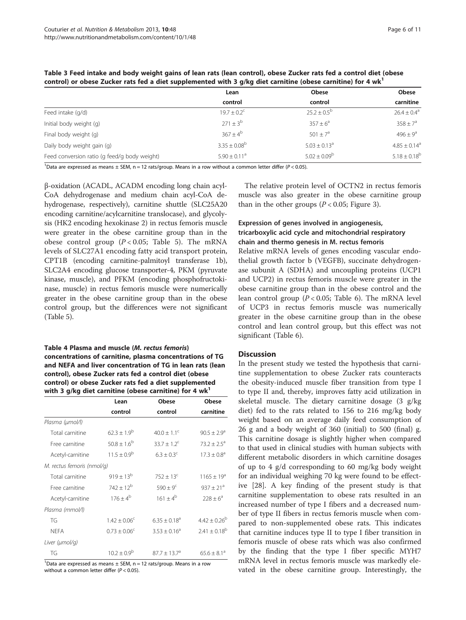| CONTROL OF ODESE ZUCKET TALS TED A DIEL SUPPIENTENCED WILH 3 Y/KY DIEL CANNUME (ODESE CANNUME) TOT 4 WK |                         |                         |                              |  |  |
|---------------------------------------------------------------------------------------------------------|-------------------------|-------------------------|------------------------------|--|--|
|                                                                                                         | Lean                    | <b>Obese</b>            | <b>Obese</b>                 |  |  |
|                                                                                                         | control                 | control                 | carnitine                    |  |  |
| Feed intake (g/d)                                                                                       | $19.7 + 0.2^{\circ}$    | $25.2 \pm 0.5^{b}$      | $26.4 \pm 0.4^{\circ}$       |  |  |
| Initial body weight (g)                                                                                 | $271 + 3^b$             | $357 \pm 6^a$           | $358 \pm 7^{\circ}$          |  |  |
| Final body weight (g)                                                                                   | $367 + 4^b$             | $501 + 7^a$             | $496 \pm 9^{\circ}$          |  |  |
| Daily body weight gain (g)                                                                              | $3.35 \pm 0.08^{\circ}$ | $5.03 \pm 0.13^{\circ}$ | $4.85 \pm 0.14$ <sup>a</sup> |  |  |
| Feed conversion ratio (g feed/g body weight)                                                            | $5.90 + 0.11a$          | $5.02 \pm 0.09^{\rm b}$ | $5.18 \pm 0.18^{b}$          |  |  |

<span id="page-5-0"></span>Table 3 Feed intake and body weight gains of lean rats (lean control), obese Zucker rats fed a control diet (obese control) or obese Zucker rats fed a diet supplemented with 3 g/kg diet carnitine (obese carnitine) for 4 wk1

<sup>1</sup>Data are expressed as means  $\pm$  SEM, n = 12 rats/group. Means in a row without a common letter differ ( $P < 0.05$ ).

β-oxidation (ACADL, ACADM encoding long chain acyl-CoA dehydrogenase and medium chain acyl-CoA dehydrogenase, respectively), carnitine shuttle (SLC25A20 encoding carnitine/acylcarnitine translocase), and glycolysis (HK2 encoding hexokinase 2) in rectus femoris muscle were greater in the obese carnitine group than in the obese control group  $(P < 0.05$ ; Table [5](#page-7-0)). The mRNA levels of SLC27A1 encoding fatty acid transport protein, CPT1B (encoding carnitine-palmitoyl transferase 1b), SLC2A4 encoding glucose transporter-4, PKM (pyruvate kinase, muscle), and PFKM (encoding phosphofructokinase, muscle) in rectus femoris muscle were numerically greater in the obese carnitine group than in the obese control group, but the differences were not significant (Table [5](#page-7-0)).

#### Table 4 Plasma and muscle (M. rectus femoris) concentrations of carnitine, plasma concentrations of TG and NEFA and liver concentration of TG in lean rats (lean control), obese Zucker rats fed a control diet (obese control) or obese Zucker rats fed a diet supplemented with 3 g/kg diet carnitine (obese carnitine) for 4  $wk<sup>1</sup>$

|                            | Lean                    | Obese                | Obese                  |
|----------------------------|-------------------------|----------------------|------------------------|
|                            | control                 | control              | carnitine              |
| Plasma (µmol/l)            |                         |                      |                        |
| Total carnitine            | $62.3 \pm 1.9^{b}$      | $40.0 + 1.1^{\circ}$ | $90.5 \pm 2.9^{\circ}$ |
| Free carnitine             | $50.8 \pm 1.6^b$        | $33.7 + 1.2^c$       | $73.2 \pm 2.5^a$       |
| Acetyl-carnitine           | $11.5 + 0.9^b$          | $6.3 + 0.3^{\circ}$  | $17.3 \pm 0.8^{\circ}$ |
| M. rectus femoris (nmol/g) |                         |                      |                        |
| Total carnitine            | $919 \pm 13^{b}$        | $752 \pm 13^c$       | $1165 \pm 19^a$        |
| Free carnitine             | $742 + 12^{b}$          | $590 \pm 9^{\circ}$  | $937 + 21^{a}$         |
| Acetyl-carnitine           | $176 + 4^b$             | $161 + 4^{b}$        | $728 + 6^a$            |
| Plasma (mmol/l)            |                         |                      |                        |
| TG                         | $1.42 \pm 0.06^{\circ}$ | $6.35 + 0.18^a$      | $4.42 \pm 0.26^b$      |
| <b>NEFA</b>                | $0.73 \pm 0.06^{\circ}$ | $3.53 + 0.16^a$      | $2.41 \pm 0.18^{b}$    |
| Liver (µmol/g)             |                         |                      |                        |
| TG                         | $10.2 \pm 0.9^{\rm b}$  | $87.7 + 13.7a$       | $65.6 + 8.1a$          |

<sup>1</sup>Data are expressed as means  $\pm$  SEM, n = 12 rats/group. Means in a row without a common letter differ ( $P < 0.05$ ).

The relative protein level of OCTN2 in rectus femoris muscle was also greater in the obese carnitine group than in the other groups ( $P < 0.05$ ; Figure [3\)](#page-8-0).

## Expression of genes involved in angiogenesis, tricarboxylic acid cycle and mitochondrial respiratory chain and thermo genesis in M. rectus femoris

Relative mRNA levels of genes encoding vascular endothelial growth factor b (VEGFB), succinate dehydrogenase subunit A (SDHA) and uncoupling proteins (UCP1 and UCP2) in rectus femoris muscle were greater in the obese carnitine group than in the obese control and the lean control group  $(P < 0.05$ ; Table [6](#page-8-0)). The mRNA level of UCP3 in rectus femoris muscle was numerically greater in the obese carnitine group than in the obese control and lean control group, but this effect was not significant (Table [6\)](#page-8-0).

#### **Discussion**

In the present study we tested the hypothesis that carnitine supplementation to obese Zucker rats counteracts the obesity-induced muscle fiber transition from type I to type II and, thereby, improves fatty acid utilization in skeletal muscle. The dietary carnitine dosage (3 g/kg diet) fed to the rats related to 156 to 216 mg/kg body weight based on an average daily feed consumption of 26 g and a body weight of 360 (initial) to 500 (final) g. This carnitine dosage is slightly higher when compared to that used in clinical studies with human subjects with different metabolic disorders in which carnitine dosages of up to 4 g/d corresponding to 60 mg/kg body weight for an individual weighing 70 kg were found to be effective [\[28](#page-10-0)]. A key finding of the present study is that carnitine supplementation to obese rats resulted in an increased number of type I fibers and a decreased number of type II fibers in rectus femoris muscle when compared to non-supplemented obese rats. This indicates that carnitine induces type II to type I fiber transition in femoris muscle of obese rats which was also confirmed by the finding that the type I fiber specific MYH7 mRNA level in rectus femoris muscle was markedly elevated in the obese carnitine group. Interestingly, the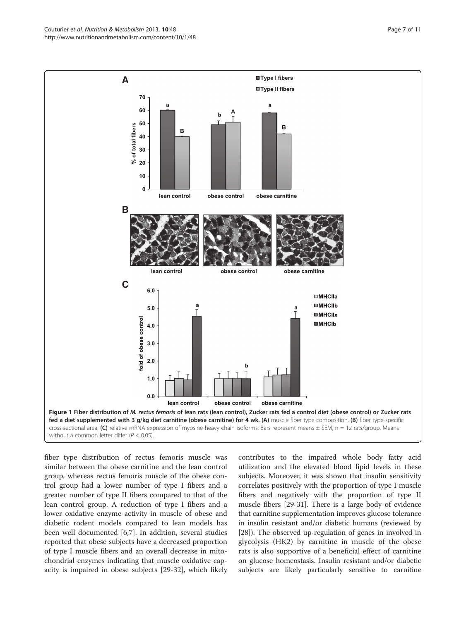<span id="page-6-0"></span>Couturier et al. Nutrition & Metabolism 2013, 10:48 Page 7 of 11 http://www.nutritionandmetabolism.com/content/10/1/48



fiber type distribution of rectus femoris muscle was similar between the obese carnitine and the lean control group, whereas rectus femoris muscle of the obese control group had a lower number of type I fibers and a greater number of type II fibers compared to that of the lean control group. A reduction of type I fibers and a lower oxidative enzyme activity in muscle of obese and diabetic rodent models compared to lean models has been well documented [[6,7\]](#page-9-0). In addition, several studies reported that obese subjects have a decreased proportion of type I muscle fibers and an overall decrease in mitochondrial enzymes indicating that muscle oxidative capacity is impaired in obese subjects [\[29](#page-10-0)-[32\]](#page-10-0), which likely

contributes to the impaired whole body fatty acid utilization and the elevated blood lipid levels in these subjects. Moreover, it was shown that insulin sensitivity correlates positively with the proportion of type I muscle fibers and negatively with the proportion of type II muscle fibers [\[29-31\]](#page-10-0). There is a large body of evidence that carnitine supplementation improves glucose tolerance in insulin resistant and/or diabetic humans (reviewed by [[28](#page-10-0)]). The observed up-regulation of genes in involved in glycolysis (HK2) by carnitine in muscle of the obese rats is also supportive of a beneficial effect of carnitine on glucose homeostasis. Insulin resistant and/or diabetic subjects are likely particularly sensitive to carnitine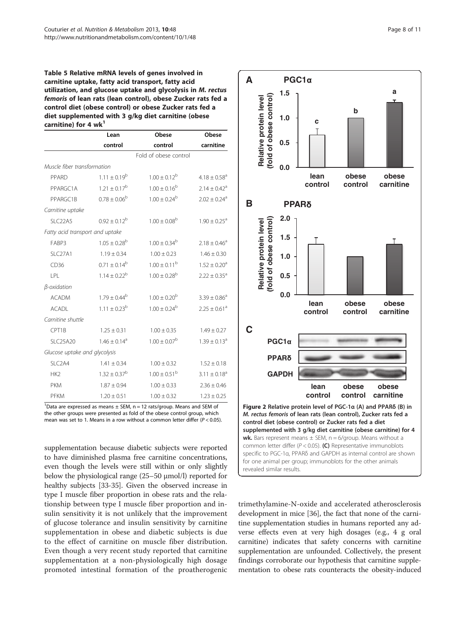<span id="page-7-0"></span>Table 5 Relative mRNA levels of genes involved in carnitine uptake, fatty acid transport, fatty acid utilization, and glucose uptake and glycolysis in M. rectus femoris of lean rats (lean control), obese Zucker rats fed a control diet (obese control) or obese Zucker rats fed a diet supplemented with 3 g/kg diet carnitine (obese carnitine) for 4  $wk<sup>1</sup>$ 

|                                 | Lean                         | Obese                   | Obese                        |
|---------------------------------|------------------------------|-------------------------|------------------------------|
|                                 | control                      | control                 | carnitine                    |
|                                 |                              | Fold of obese control   |                              |
| Muscle fiber transformation     |                              |                         |                              |
| PPARD                           | $1.11 \pm 0.19^{\rm b}$      | $1.00 \pm 0.12^{\rm b}$ | $4.18 \pm 0.58$ <sup>a</sup> |
| PPARGC1A                        | $1.21 + 0.17^b$              | $1.00 \pm 0.16^b$       | $2.14 \pm 0.42$ <sup>a</sup> |
| PPARGC1B                        | $0.78 \pm 0.06^{\rm b}$      | $1.00 \pm 0.24^{\rm b}$ | $2.02 \pm 0.24$ <sup>a</sup> |
| Carnitine uptake                |                              |                         |                              |
| SLC <sub>22</sub> A5            | $0.92 \pm 0.12^b$            | $1.00 \pm 0.08^{\rm b}$ | $1.90 \pm 0.25^{\circ}$      |
| Fatty acid transport and uptake |                              |                         |                              |
| FABP3                           | $1.05 \pm 0.28^{\rm b}$      | $1.00 \pm 0.34^{\rm b}$ | $2.18 \pm 0.46^a$            |
| SI C <sub>27</sub> A1           | $1.19 \pm 0.34$              | $1.00 \pm 0.23$         | $1.46 \pm 0.30$              |
| CD36                            | $0.71 \pm 0.14^{\rm b}$      | $1.00 \pm 0.11^{\rm b}$ | $1.52 \pm 0.20$ <sup>a</sup> |
| P                               | $1.14 \pm 0.22^b$            | $1.00 \pm 0.28^{\rm b}$ | $2.22 \pm 0.35$ <sup>a</sup> |
| $\beta$ -oxidation              |                              |                         |                              |
| <b>ACADM</b>                    | $1.79 \pm 0.44^b$            | $1.00 \pm 0.20^{\rm b}$ | $3.39 \pm 0.86^a$            |
| <b>ACADL</b>                    | $1.11 \pm 0.23^{\rm b}$      | $1.00 \pm 0.24^{\rm b}$ | $2.25 \pm 0.61$ <sup>a</sup> |
| Carnitine shuttle               |                              |                         |                              |
| CPT1B                           | $1.25 \pm 0.31$              | $1.00 \pm 0.35$         | $1.49 \pm 0.27$              |
| <b>SLC25A20</b>                 | $1.46 \pm 0.14$ <sup>a</sup> | $1.00 \pm 0.07^{\rm b}$ | $1.39 \pm 0.13$ <sup>a</sup> |
| Glucose uptake and glycolysis   |                              |                         |                              |
| SLC <sub>2</sub> A4             | $1.41 \pm 0.34$              | $1.00 \pm 0.32$         | $1.52 \pm 0.18$              |
| HK <sub>2</sub>                 | $1.32 \pm 0.37^b$            | $1.00 \pm 0.51^{\rm b}$ | $3.11 \pm 0.18$ <sup>a</sup> |
| <b>PKM</b>                      | $1.87 \pm 0.94$              | $1.00 \pm 0.33$         | $2.36 \pm 0.46$              |
| PFKM                            | $1.20 \pm 0.51$              | $1.00 \pm 0.32$         | $1.23 \pm 0.25$              |

<sup>1</sup>Data are expressed as means  $\pm$  SEM, n = 12 rats/group. Means and SEM of the other groups were presented as fold of the obese control group, which mean was set to 1. Means in a row without a common letter differ  $(P < 0.05)$ .

supplementation because diabetic subjects were reported to have diminished plasma free carnitine concentrations, even though the levels were still within or only slightly below the physiological range (25–50 μmol/l) reported for healthy subjects [\[33-35\]](#page-10-0). Given the observed increase in type I muscle fiber proportion in obese rats and the relationship between type I muscle fiber proportion and insulin sensitivity it is not unlikely that the improvement of glucose tolerance and insulin sensitivity by carnitine supplementation in obese and diabetic subjects is due to the effect of carnitine on muscle fiber distribution. Even though a very recent study reported that carnitine supplementation at a non-physiologically high dosage promoted intestinal formation of the proatherogenic



trimethylamine-N-oxide and accelerated atherosclerosis development in mice [[36](#page-10-0)], the fact that none of the carnitine supplementation studies in humans reported any adverse effects even at very high dosages (e.g., 4 g oral carnitine) indicates that safety concerns with carnitine supplementation are unfounded. Collectively, the present findings corroborate our hypothesis that carnitine supplementation to obese rats counteracts the obesity-induced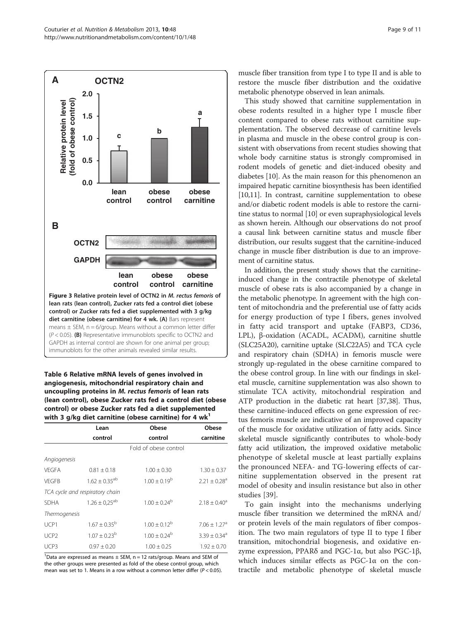<span id="page-8-0"></span>

#### Table 6 Relative mRNA levels of genes involved in angiogenesis, mitochondrial respiratory chain and uncoupling proteins in M. rectus femoris of lean rats (lean control), obese Zucker rats fed a control diet (obese control) or obese Zucker rats fed a diet supplemented with 3 g/kg diet carnitine (obese carnitine) for 4  $wk<sup>1</sup>$

|                  | Lean                            | Obese                 | Obese                        |
|------------------|---------------------------------|-----------------------|------------------------------|
|                  | control                         | control               | carnitine                    |
|                  |                                 | Fold of obese control |                              |
| Angiogenesis     |                                 |                       |                              |
| VFGFA            | $0.81 + 0.18$                   | $1.00 + 0.30$         | $1.30 \pm 0.37$              |
| VFGFB            | $1.62 \pm 0.35^{ab}$            | $1.00 + 0.19^b$       | $2.21 + 0.28$ <sup>a</sup>   |
|                  | TCA cycle and respiratory chain |                       |                              |
| <b>SDHA</b>      | $1.26 \pm 0.25^{ab}$            | $1.00 + 0.24^b$       | $2.18 + 0.40^a$              |
| Thermogenesis    |                                 |                       |                              |
| UCP1             | $1.67 \pm 0.35^{\rm b}$         | $1.00 + 0.12^b$       | $7.06 + 1.27$ <sup>a</sup>   |
| UCP <sub>2</sub> | $1.07 \pm 0.23^{\rm b}$         | $1.00 + 0.24^b$       | $3.39 \pm 0.34$ <sup>a</sup> |
| UCP3             | $0.97 \pm 0.20$                 | $1.00 \pm 0.25$       | $1.92 \pm 0.70$              |

<sup>1</sup>Data are expressed as means  $\pm$  SEM, n = 12 rats/group. Means and SEM of the other groups were presented as fold of the obese control group, which mean was set to 1. Means in a row without a common letter differ ( $P < 0.05$ ). muscle fiber transition from type I to type II and is able to restore the muscle fiber distribution and the oxidative metabolic phenotype observed in lean animals.

This study showed that carnitine supplementation in obese rodents resulted in a higher type I muscle fiber content compared to obese rats without carnitine supplementation. The observed decrease of carnitine levels in plasma and muscle in the obese control group is consistent with observations from recent studies showing that whole body carnitine status is strongly compromised in rodent models of genetic and diet-induced obesity and diabetes [[10\]](#page-9-0). As the main reason for this phenomenon an impaired hepatic carnitine biosynthesis has been identified [[10](#page-9-0),[11](#page-9-0)]. In contrast, carnitine supplementation to obese and/or diabetic rodent models is able to restore the carnitine status to normal [\[10\]](#page-9-0) or even supraphysiological levels as shown herein. Although our observations do not proof a causal link between carnitine status and muscle fiber distribution, our results suggest that the carnitine-induced change in muscle fiber distribution is due to an improvement of carnitine status.

In addition, the present study shows that the carnitineinduced change in the contractile phenotype of skeletal muscle of obese rats is also accompanied by a change in the metabolic phenotype. In agreement with the high content of mitochondria and the preferential use of fatty acids for energy production of type I fibers, genes involved in fatty acid transport and uptake (FABP3, CD36, LPL), β-oxidation (ACADL, ACADM), carnitine shuttle (SLC25A20), carnitine uptake (SLC22A5) and TCA cycle and respiratory chain (SDHA) in femoris muscle were strongly up-regulated in the obese carnitine compared to the obese control group. In line with our findings in skeletal muscle, carnitine supplementation was also shown to stimulate TCA activity, mitochondrial respiration and ATP production in the diabetic rat heart [[37,38](#page-10-0)]. Thus, these carnitine-induced effects on gene expression of rectus femoris muscle are indicative of an improved capacity of the muscle for oxidative utilization of fatty acids. Since skeletal muscle significantly contributes to whole-body fatty acid utilization, the improved oxidative metabolic phenotype of skeletal muscle at least partially explains the pronounced NEFA- and TG-lowering effects of carnitine supplementation observed in the present rat model of obesity and insulin resistance but also in other studies [[39\]](#page-10-0).

To gain insight into the mechanisms underlying muscle fiber transition we determined the mRNA and/ or protein levels of the main regulators of fiber composition. The two main regulators of type II to type I fiber transition, mitochondrial biogenesis, and oxidative enzyme expression, PPARδ and PGC-1α, but also PGC-1β, which induces similar effects as PGC-1α on the contractile and metabolic phenotype of skeletal muscle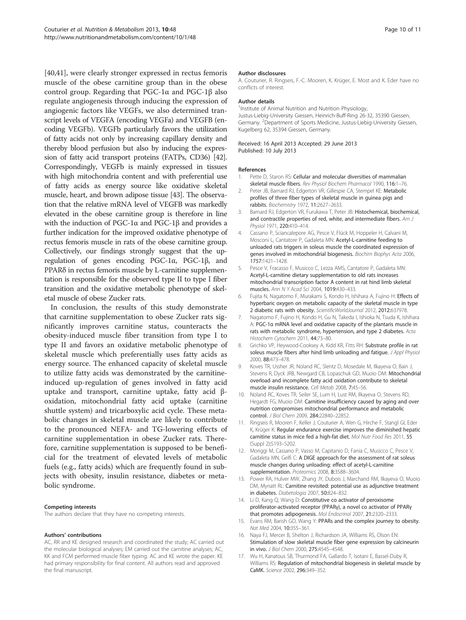<span id="page-9-0"></span>[[40,41\]](#page-10-0), were clearly stronger expressed in rectus femoris muscle of the obese carnitine group than in the obese control group. Regarding that PGC-1α and PGC-1β also regulate angiogenesis through inducing the expression of angiogenic factors like VEGFs, we also determined transcript levels of VEGFA (encoding VEGFa) and VEGFB (encoding VEGFb). VEGFb particularly favors the utilization of fatty acids not only by increasing capillary density and thereby blood perfusion but also by inducing the expression of fatty acid transport proteins (FATPs, CD36) [[42](#page-10-0)]. Correspondingly, VEGFb is mainly expressed in tissues with high mitochondria content and with preferential use of fatty acids as energy source like oxidative skeletal muscle, heart, and brown adipose tissue [[43](#page-10-0)]. The observation that the relative mRNA level of VEGFB was markedly elevated in the obese carnitine group is therefore in line with the induction of PGC-1α and PGC-1β and provides a further indication for the improved oxidative phenotype of rectus femoris muscle in rats of the obese carnitine group. Collectively, our findings strongly suggest that the upregulation of genes encoding PGC-1α, PGC-1β, and PPARδ in rectus femoris muscle by L-carnitine supplementation is responsible for the observed type II to type I fiber transition and the oxidative metabolic phenotype of skeletal muscle of obese Zucker rats.

In conclusion, the results of this study demonstrate that carnitine supplementation to obese Zucker rats significantly improves carnitine status, counteracts the obesity-induced muscle fiber transition from type I to type II and favors an oxidative metabolic phenotype of skeletal muscle which preferentially uses fatty acids as energy source. The enhanced capacity of skeletal muscle to utilize fatty acids was demonstrated by the carnitineinduced up-regulation of genes involved in fatty acid uptake and transport, carnitine uptake, fatty acid βoxidation, mitochondrial fatty acid uptake (carnitine shuttle system) and tricarboxylic acid cycle. These metabolic changes in skeletal muscle are likely to contribute to the pronounced NEFA- and TG-lowering effects of carnitine supplementation in obese Zucker rats. Therefore, carnitine supplementation is supposed to be beneficial for the treatment of elevated levels of metabolic fuels (e.g., fatty acids) which are frequently found in subjects with obesity, insulin resistance, diabetes or metabolic syndrome.

#### Competing interests

The authors declare that they have no competing interests.

#### Authors' contributions

AC, RR and KE designed research and coordinated the study; AC carried out the molecular biological analyses; EM carried out the carnitine analyses; AC, KK and FCM performed muscle fiber typing. AC and KE wrote the paper. KE had primary responsibility for final content. All authors read and approved the final manuscript.

#### Author disclosures

A. Couturier, R. Ringseis, F.-C. Mooren, K. Krüger, E. Most and K. Eder have no conflicts of interest.

#### Author details

<sup>1</sup> Institute of Animal Nutrition and Nutrition Physiology Justus-Liebig-University Giessen, Heinrich-Buff-Ring 26-32, 35390 Giessen, Germany. <sup>2</sup>Department of Sports Medicine, Justus-Liebig-University Giessen Kugelberg 62, 35394 Giessen, Germany.

#### Received: 16 April 2013 Accepted: 29 June 2013 Published: 10 July 2013

#### References

- 1. Pette D, Staron RS: Cellular and molecular diversities of mammalian skeletal muscle fibers. Rev Physiol Biochem Pharmacol 1990, 116:1-76.
- 2. Peter JB, Barnard RJ, Edgerton VR, Gillespie CA, Stempel KE: Metabolic profiles of three fiber types of skeletal muscle in guinea pigs and rabbits. Biochemistry 1972, 11:2627–2633.
- 3. Barnard RJ, Edgerton VR, Furukawa T, Peter JB: Histochemical, biochemical, and contractile properties of red, white, and intermediate fibers. Am J Physiol 1971, 220:410–414.
- 4. Cassano P, Sciancalepore AG, Pesce V, Flück M, Hoppeler H, Calvani M, Mosconi L, Cantatore P, Gadaleta MN: Acetyl-L-carnitine feeding to unloaded rats triggers in soleus muscle the coordinated expression of genes involved in mitochondrial biogenesis. Biochim Biophys Acta 2006, 1757:1421–1428.
- Pesce V, Fracasso F, Musicco C, Lezza AMS, Cantatore P, Gadaleta MN: Acetyl-L-carnitine dietary supplementation to old rats increases mitochondrial transcription factor A content in rat hind limb skeletal muscles. Ann N Y Acad Sci 2004, 1019:430–433.
- 6. Fujita N, Nagatomo F, Murakami S, Kondo H, Ishihara A, Fujino H: Effects of hyperbaric oxygen on metabolic capacity of the skeletal muscle in type 2 diabetic rats with obesity. ScientificWorldJournal 2012, 2012:637978.
- 7. Nagatomo F, Fujino H, Kondo H, Gu N, Takeda I, Ishioka N, Tsuda K, Ishihara A: PGC-1α mRNA level and oxidative capacity of the plantaris muscle in rats with metabolic syndrome, hypertension, and type 2 diabetes. Acta Histochem Cytochem 2011, 44:73–80.
- 8. Grichko VP, Heywood-Cooksey A, Kidd KR, Fitts RH: Substrate profile in rat soleus muscle fibers after hind limb unloading and fatigue. J Appl Physiol 2000, 88:473–478.
- 9. Koves TR, Ussher JR, Noland RC, Slentz D, Mosedale M, Ilkayeva O, Bain J, Stevens R, Dyck JRB, Newgard CB, Lopaschuk GD, Muoio DM: Mitochondrial overload and incomplete fatty acid oxidation contribute to skeletal muscle insulin resistance. Cell Metab 2008, 7:45–56.
- 10. Noland RC, Koves TR, Seiler SE, Lum H, Lust RM, Ilkayeva O, Stevens RD, Hegardt FG, Muoio DM: Carnitine insufficiency caused by aging and over nutrition compromises mitochondrial performance and metabolic control. J Biol Chem 2009, 284:22840–22852.
- 11. Ringseis R, Mooren F, Keller J, Couturier A, Wen G, Hirche F, Stangl GI, Eder K, Krüger K: Regular endurance exercise improves the diminished hepatic carnitine status in mice fed a high-fat diet. Mol Nutr Food Res 2011, 55 (Suppl 2):S193–S202.
- 12. Moriggi M, Cassano P, Vasso M, Capitanio D, Fania C, Musicco C, Pesce V, Gadaleta MN, Gelfi C: A DIGE approach for the assessment of rat soleus muscle changes during unloading: effect of acetyl-L-carnitine supplementation. Proteomics 2008, 8:3588–3604.
- 13. Power RA, Hulver MW, Zhang JY, Dubois J, Marchand RM, Ilkayeva O, Muoio DM, Mynatt RL: Carnitine revisited: potential use as adjunctive treatment in diabetes. Diabetologia 2007, 50:824–832.
- 14. Li D, Kang Q, Wang D: Constitutive co activator of peroxisome proliferator-activated receptor (PPARγ), a novel co activator of PPARγ that promotes adipogenesis. Mol Endocrinol 2007, 21:2320–2333.
- 15. Evans RM, Barish GD, Wang Y: PPARs and the complex journey to obesity. Nat Med 2004, 10:355-361.
- 16. Naya FJ, Mercer B, Shelton J, Richardson JA, Williams RS, Olson EN: Stimulation of slow skeletal muscle fiber gene expression by calcineurin in vivo. J Biol Chem 2000, 275:4545–4548.
- 17. Wu H, Kanatous SB, Thurmond FA, Gallardo T, Isotani E, Bassel-Duby R, Williams RS: Regulation of mitochondrial biogenesis in skeletal muscle by CaMK. Science 2002, 296:349–352.